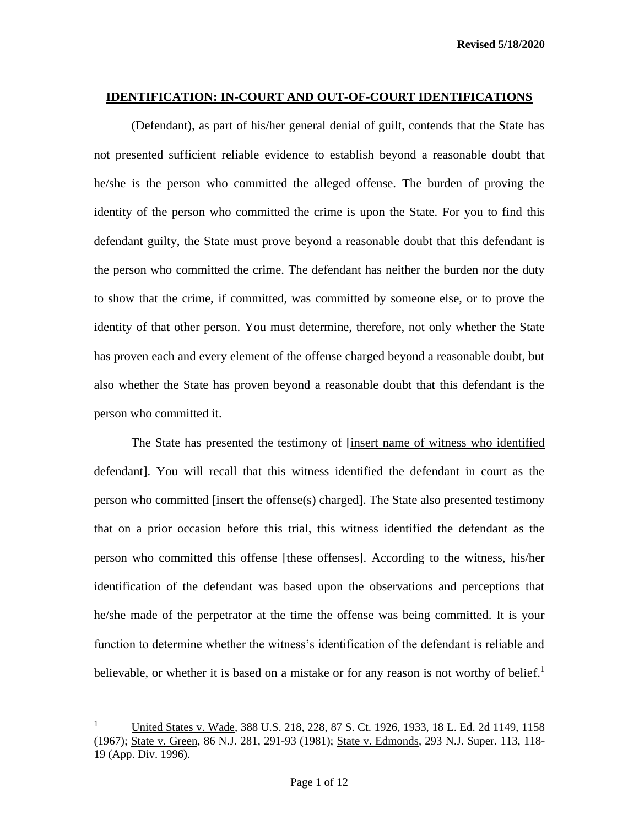(Defendant), as part of his/her general denial of guilt, contends that the State has not presented sufficient reliable evidence to establish beyond a reasonable doubt that he/she is the person who committed the alleged offense. The burden of proving the identity of the person who committed the crime is upon the State. For you to find this defendant guilty, the State must prove beyond a reasonable doubt that this defendant is the person who committed the crime. The defendant has neither the burden nor the duty to show that the crime, if committed, was committed by someone else, or to prove the identity of that other person. You must determine, therefore, not only whether the State has proven each and every element of the offense charged beyond a reasonable doubt, but also whether the State has proven beyond a reasonable doubt that this defendant is the person who committed it.

The State has presented the testimony of [insert name of witness who identified defendant]. You will recall that this witness identified the defendant in court as the person who committed [insert the offense(s) charged]. The State also presented testimony that on a prior occasion before this trial, this witness identified the defendant as the person who committed this offense [these offenses]. According to the witness, his/her identification of the defendant was based upon the observations and perceptions that he/she made of the perpetrator at the time the offense was being committed. It is your function to determine whether the witness's identification of the defendant is reliable and believable, or whether it is based on a mistake or for any reason is not worthy of belief.<sup>1</sup>

<sup>1</sup> United States v. Wade, 388 U.S. 218, 228, 87 S. Ct. 1926, 1933, 18 L. Ed. 2d 1149, 1158 (1967); State v. Green, 86 N.J. 281, 291-93 (1981); State v. Edmonds, 293 N.J. Super. 113, 118- 19 (App. Div. 1996).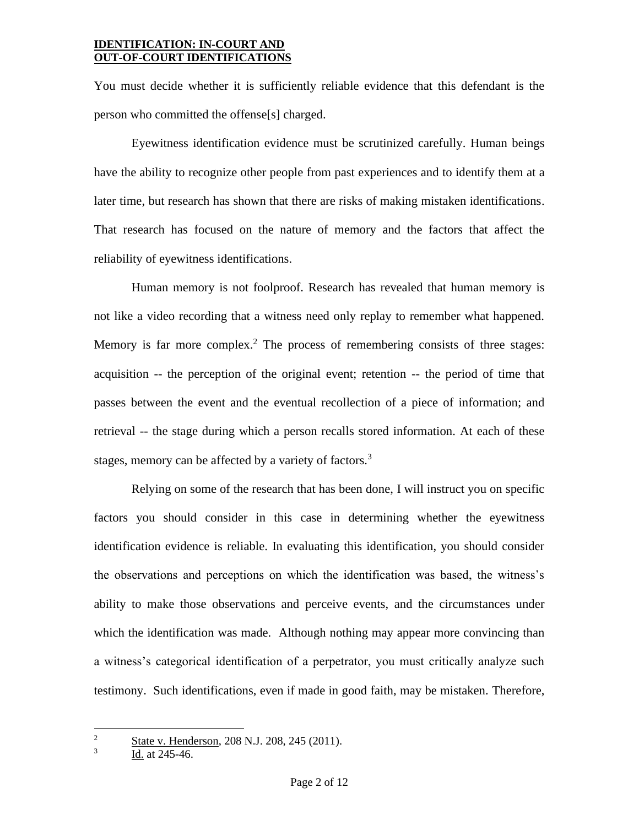You must decide whether it is sufficiently reliable evidence that this defendant is the person who committed the offense[s] charged.

Eyewitness identification evidence must be scrutinized carefully. Human beings have the ability to recognize other people from past experiences and to identify them at a later time, but research has shown that there are risks of making mistaken identifications. That research has focused on the nature of memory and the factors that affect the reliability of eyewitness identifications.

Human memory is not foolproof. Research has revealed that human memory is not like a video recording that a witness need only replay to remember what happened. Memory is far more complex.<sup>2</sup> The process of remembering consists of three stages: acquisition -- the perception of the original event; retention -- the period of time that passes between the event and the eventual recollection of a piece of information; and retrieval -- the stage during which a person recalls stored information. At each of these stages, memory can be affected by a variety of factors.<sup>3</sup>

Relying on some of the research that has been done, I will instruct you on specific factors you should consider in this case in determining whether the eyewitness identification evidence is reliable. In evaluating this identification, you should consider the observations and perceptions on which the identification was based, the witness's ability to make those observations and perceive events, and the circumstances under which the identification was made. Although nothing may appear more convincing than a witness's categorical identification of a perpetrator, you must critically analyze such testimony. Such identifications, even if made in good faith, may be mistaken. Therefore,

3 Id. at 245-46.

<sup>&</sup>lt;sup>2</sup> State v. Henderson, 208 N.J. 208, 245 (2011).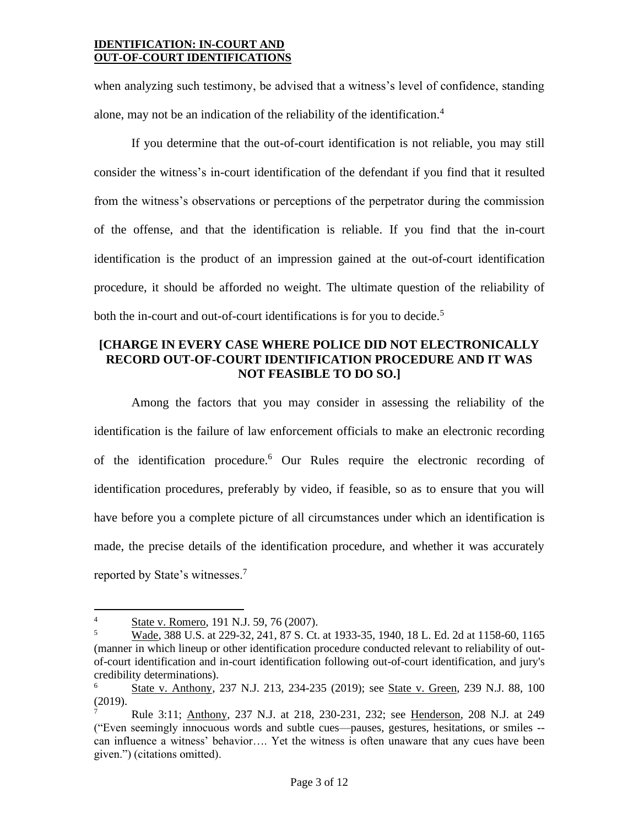when analyzing such testimony, be advised that a witness's level of confidence, standing alone, may not be an indication of the reliability of the identification.<sup>4</sup>

If you determine that the out-of-court identification is not reliable, you may still consider the witness's in-court identification of the defendant if you find that it resulted from the witness's observations or perceptions of the perpetrator during the commission of the offense, and that the identification is reliable. If you find that the in-court identification is the product of an impression gained at the out-of-court identification procedure, it should be afforded no weight. The ultimate question of the reliability of both the in-court and out-of-court identifications is for you to decide.<sup>5</sup>

## **[CHARGE IN EVERY CASE WHERE POLICE DID NOT ELECTRONICALLY RECORD OUT-OF-COURT IDENTIFICATION PROCEDURE AND IT WAS NOT FEASIBLE TO DO SO.]**

Among the factors that you may consider in assessing the reliability of the identification is the failure of law enforcement officials to make an electronic recording of the identification procedure. <sup>6</sup> Our Rules require the electronic recording of identification procedures, preferably by video, if feasible, so as to ensure that you will have before you a complete picture of all circumstances under which an identification is made, the precise details of the identification procedure, and whether it was accurately reported by State's witnesses.<sup>7</sup>

 $\frac{4}{5}$  State v. Romero, 191 N.J. 59, 76 (2007).<br>
Wade 388 U.S. at 229-32, 241, 87 S. Ct.

<sup>5</sup> Wade, 388 U.S. at 229-32, 241, 87 S. Ct. at 1933-35, 1940, 18 L. Ed. 2d at 1158-60, 1165 (manner in which lineup or other identification procedure conducted relevant to reliability of outof-court identification and in-court identification following out-of-court identification, and jury's credibility determinations).

State v. Anthony, 237 N.J. 213, 234-235 (2019); see State v. Green, 239 N.J. 88, 100 (2019).

<sup>7</sup> Rule 3:11; Anthony, 237 N.J. at 218, 230-231, 232; see Henderson, 208 N.J. at 249 ("Even seemingly innocuous words and subtle cues—pauses, gestures, hesitations, or smiles - can influence a witness' behavior…. Yet the witness is often unaware that any cues have been given.") (citations omitted).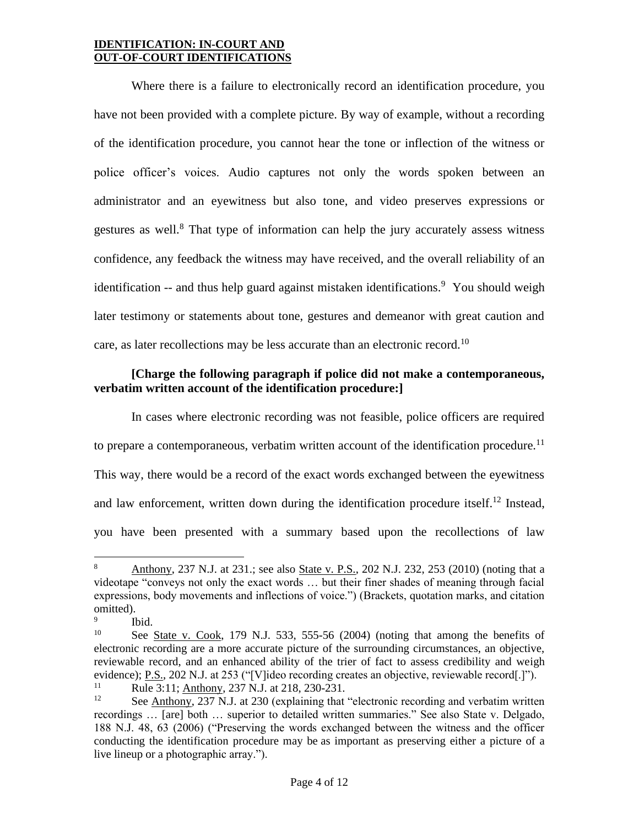Where there is a failure to electronically record an identification procedure, you have not been provided with a complete picture. By way of example, without a recording of the identification procedure, you cannot hear the tone or inflection of the witness or police officer's voices. Audio captures not only the words spoken between an administrator and an eyewitness but also tone, and video preserves expressions or gestures as well.<sup>8</sup> That type of information can help the jury accurately assess witness confidence, any feedback the witness may have received, and the overall reliability of an identification -- and thus help guard against mistaken identifications.<sup>9</sup> You should weigh later testimony or statements about tone, gestures and demeanor with great caution and care, as later recollections may be less accurate than an electronic record.<sup>10</sup>

## **[Charge the following paragraph if police did not make a contemporaneous, verbatim written account of the identification procedure:]**

In cases where electronic recording was not feasible, police officers are required to prepare a contemporaneous, verbatim written account of the identification procedure.<sup>11</sup> This way, there would be a record of the exact words exchanged between the eyewitness and law enforcement, written down during the identification procedure itself.<sup>12</sup> Instead, you have been presented with a summary based upon the recollections of law

<sup>8</sup> Anthony, 237 N.J. at 231.; see also State v. P.S., 202 N.J. 232, 253 (2010) (noting that a videotape "conveys not only the exact words … but their finer shades of meaning through facial expressions, body movements and inflections of voice.") (Brackets, quotation marks, and citation omitted).

<sup>9</sup> Ibid.

<sup>&</sup>lt;sup>10</sup> See State v. Cook, 179 N.J. 533, 555-56 (2004) (noting that among the benefits of electronic recording are a more accurate picture of the surrounding circumstances, an objective, reviewable record, and an enhanced ability of the trier of fact to assess credibility and weigh evidence); P.S., 202 N.J. at 253 ("[V]ideo recording creates an objective, reviewable record[.]"). <sup>11</sup> Rule 3:11;  $\frac{\text{Anthony}}{237 \text{ N}}$  J. at 218, 230-231.

See Anthony, 237 N.J. at 230 (explaining that "electronic recording and verbatim written recordings … [are] both … superior to detailed written summaries." See also State v. Delgado, 188 N.J. 48, 63 (2006) ("Preserving the words exchanged between the witness and the officer conducting the identification procedure may be as important as preserving either a picture of a live lineup or a photographic array.").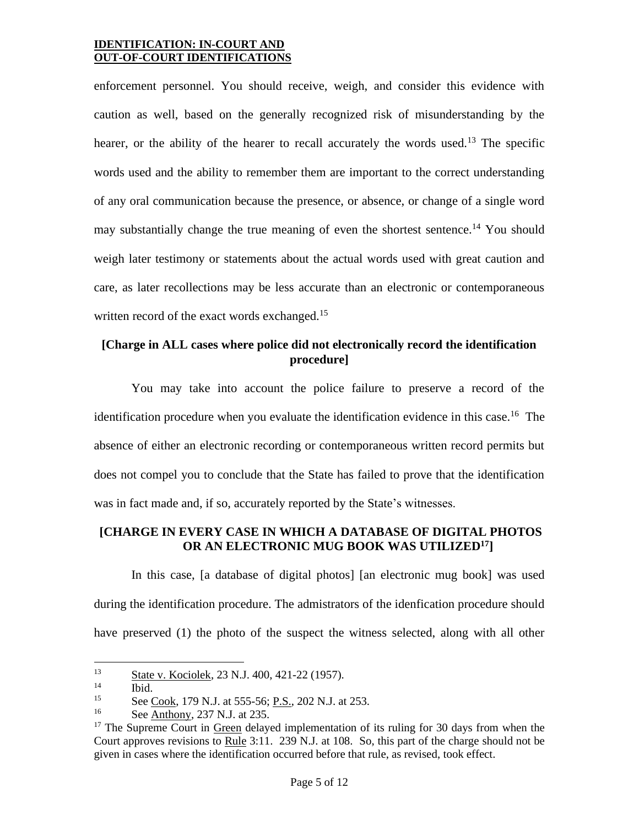enforcement personnel. You should receive, weigh, and consider this evidence with caution as well, based on the generally recognized risk of misunderstanding by the hearer, or the ability of the hearer to recall accurately the words used.<sup>13</sup> The specific words used and the ability to remember them are important to the correct understanding of any oral communication because the presence, or absence, or change of a single word may substantially change the true meaning of even the shortest sentence.<sup>14</sup> You should weigh later testimony or statements about the actual words used with great caution and care, as later recollections may be less accurate than an electronic or contemporaneous written record of the exact words exchanged.<sup>15</sup>

# **[Charge in ALL cases where police did not electronically record the identification procedure]**

You may take into account the police failure to preserve a record of the identification procedure when you evaluate the identification evidence in this case.<sup>16</sup> The absence of either an electronic recording or contemporaneous written record permits but does not compel you to conclude that the State has failed to prove that the identification was in fact made and, if so, accurately reported by the State's witnesses.

## **[CHARGE IN EVERY CASE IN WHICH A DATABASE OF DIGITAL PHOTOS OR AN ELECTRONIC MUG BOOK WAS UTILIZED<sup>17</sup>]**

In this case, [a database of digital photos] [an electronic mug book] was used during the identification procedure. The admistrators of the idenfication procedure should have preserved (1) the photo of the suspect the witness selected, along with all other

 $\frac{13}{14}$  State v. Kociolek, 23 N.J. 400, 421-22 (1957).

 $\frac{14}{15}$  Ibid.

<sup>&</sup>lt;sup>15</sup> See <u>Cook</u>, 179 N.J. at 555-56; <u>P.S.,</u> 202 N.J. at 253.

See Anthony, 237 N.J. at 235.

<sup>&</sup>lt;sup>17</sup> The Supreme Court in  $Green$  delayed implementation of its ruling for 30 days from when the Court approves revisions to Rule 3:11. 239 N.J. at 108. So, this part of the charge should not be given in cases where the identification occurred before that rule, as revised, took effect.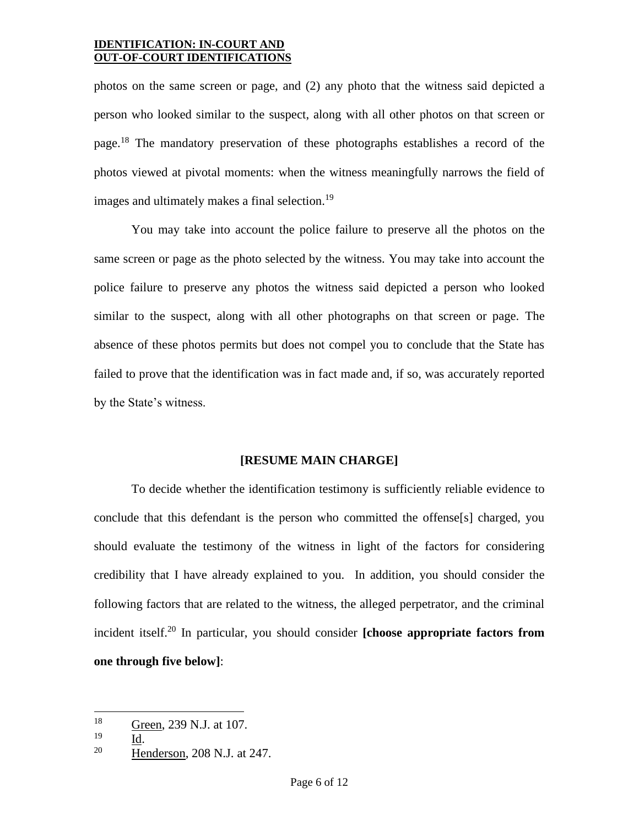photos on the same screen or page, and (2) any photo that the witness said depicted a person who looked similar to the suspect, along with all other photos on that screen or page.<sup>18</sup> The mandatory preservation of these photographs establishes a record of the photos viewed at pivotal moments: when the witness meaningfully narrows the field of images and ultimately makes a final selection.<sup>19</sup>

You may take into account the police failure to preserve all the photos on the same screen or page as the photo selected by the witness. You may take into account the police failure to preserve any photos the witness said depicted a person who looked similar to the suspect, along with all other photographs on that screen or page. The absence of these photos permits but does not compel you to conclude that the State has failed to prove that the identification was in fact made and, if so, was accurately reported by the State's witness.

#### **[RESUME MAIN CHARGE]**

To decide whether the identification testimony is sufficiently reliable evidence to conclude that this defendant is the person who committed the offense[s] charged, you should evaluate the testimony of the witness in light of the factors for considering credibility that I have already explained to you. In addition, you should consider the following factors that are related to the witness, the alleged perpetrator, and the criminal incident itself.<sup>20</sup> In particular, you should consider **[choose appropriate factors from one through five below]**:

 $\frac{18}{19}$  Green, 239 N.J. at 107.

 $\frac{19}{20}$   $\frac{Id}{He}$ 

<sup>20</sup> Henderson, 208 N.J. at 247.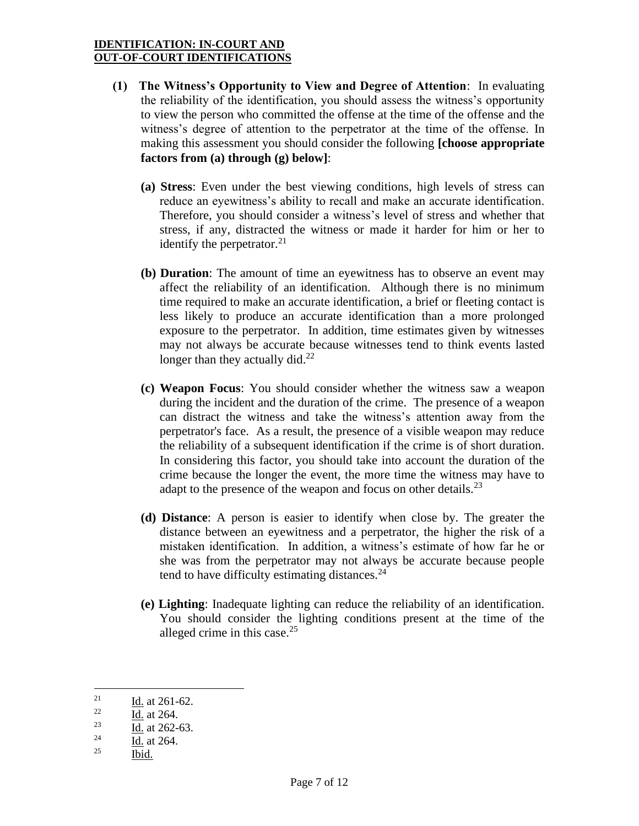- **(1) The Witness's Opportunity to View and Degree of Attention**: In evaluating the reliability of the identification, you should assess the witness's opportunity to view the person who committed the offense at the time of the offense and the witness's degree of attention to the perpetrator at the time of the offense. In making this assessment you should consider the following **[choose appropriate factors from (a) through (g) below]**:
	- **(a) Stress**: Even under the best viewing conditions, high levels of stress can reduce an eyewitness's ability to recall and make an accurate identification. Therefore, you should consider a witness's level of stress and whether that stress, if any, distracted the witness or made it harder for him or her to identify the perpetrator. $2<sup>1</sup>$
	- **(b) Duration**: The amount of time an eyewitness has to observe an event may affect the reliability of an identification. Although there is no minimum time required to make an accurate identification, a brief or fleeting contact is less likely to produce an accurate identification than a more prolonged exposure to the perpetrator. In addition, time estimates given by witnesses may not always be accurate because witnesses tend to think events lasted longer than they actually did. $^{22}$
	- **(c) Weapon Focus**: You should consider whether the witness saw a weapon during the incident and the duration of the crime. The presence of a weapon can distract the witness and take the witness's attention away from the perpetrator's face. As a result, the presence of a visible weapon may reduce the reliability of a subsequent identification if the crime is of short duration. In considering this factor, you should take into account the duration of the crime because the longer the event, the more time the witness may have to adapt to the presence of the weapon and focus on other details.<sup>23</sup>
	- **(d) Distance**: A person is easier to identify when close by. The greater the distance between an eyewitness and a perpetrator, the higher the risk of a mistaken identification. In addition, a witness's estimate of how far he or she was from the perpetrator may not always be accurate because people tend to have difficulty estimating distances.<sup>24</sup>
	- **(e) Lighting**: Inadequate lighting can reduce the reliability of an identification. You should consider the lighting conditions present at the time of the alleged crime in this case. $25$

<sup>21</sup>  Id. at 261-62.

 $\overline{1d}$ . at 264.

<sup>23</sup> Id. at 262-63.

<sup>24</sup> Id. at 264.

 $^{25}$  Ibid.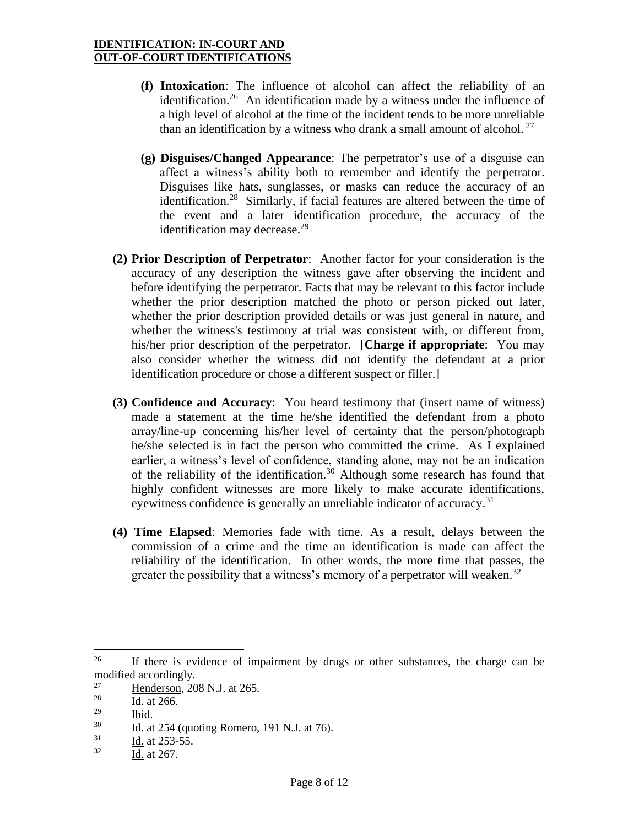- **(f) Intoxication**: The influence of alcohol can affect the reliability of an identification.<sup>26</sup> An identification made by a witness under the influence of a high level of alcohol at the time of the incident tends to be more unreliable than an identification by a witness who drank a small amount of alcohol.<sup>27</sup>
- **(g) Disguises/Changed Appearance**: The perpetrator's use of a disguise can affect a witness's ability both to remember and identify the perpetrator. Disguises like hats, sunglasses, or masks can reduce the accuracy of an identification.<sup>28</sup> Similarly, if facial features are altered between the time of the event and a later identification procedure, the accuracy of the identification may decrease. $29$
- **(2) Prior Description of Perpetrator**: Another factor for your consideration is the accuracy of any description the witness gave after observing the incident and before identifying the perpetrator. Facts that may be relevant to this factor include whether the prior description matched the photo or person picked out later, whether the prior description provided details or was just general in nature, and whether the witness's testimony at trial was consistent with, or different from, his/her prior description of the perpetrator. [**Charge if appropriate**: You may also consider whether the witness did not identify the defendant at a prior identification procedure or chose a different suspect or filler.]
- **(3) Confidence and Accuracy**: You heard testimony that (insert name of witness) made a statement at the time he/she identified the defendant from a photo array/line-up concerning his/her level of certainty that the person/photograph he/she selected is in fact the person who committed the crime. As I explained earlier, a witness's level of confidence, standing alone, may not be an indication of the reliability of the identification.<sup>30</sup> Although some research has found that highly confident witnesses are more likely to make accurate identifications, eyewitness confidence is generally an unreliable indicator of accuracy.<sup>31</sup>
- **(4) Time Elapsed**: Memories fade with time. As a result, delays between the commission of a crime and the time an identification is made can affect the reliability of the identification. In other words, the more time that passes, the greater the possibility that a witness's memory of a perpetrator will weaken.<sup>32</sup>

<sup>&</sup>lt;sup>26</sup> If there is evidence of impairment by drugs or other substances, the charge can be modified accordingly.

<sup>27</sup>  $\frac{27}{18}$  Henderson, 208 N.J. at 265.

Id. at 266.

<sup>29</sup>  $\frac{129}{30}$  Ibid.

 $\frac{30}{31}$  Id. at 254 (quoting Romero, 191 N.J. at 76).

Id. at 253-55.

 $32$  Id. at 267.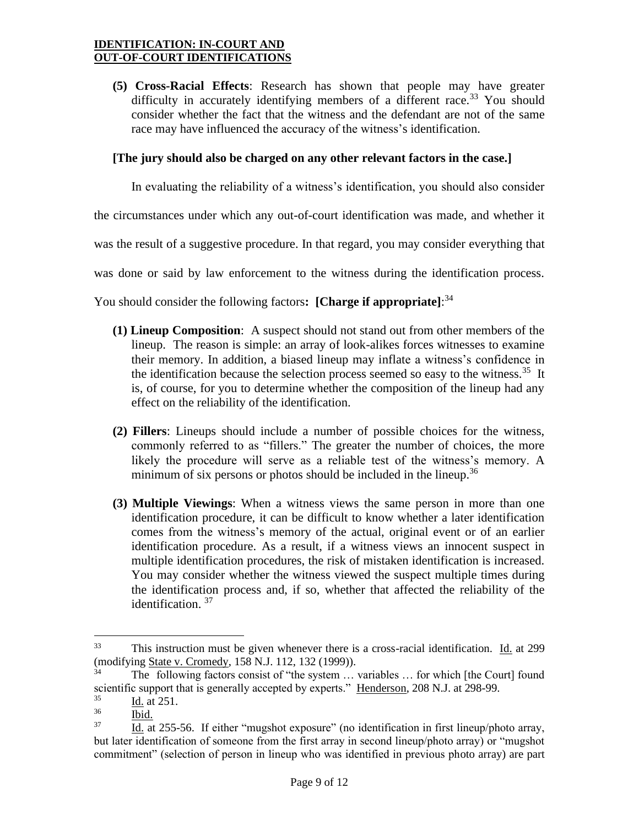**(5) Cross-Racial Effects**: Research has shown that people may have greater difficulty in accurately identifying members of a different race.<sup>33</sup> You should consider whether the fact that the witness and the defendant are not of the same race may have influenced the accuracy of the witness's identification.

### **[The jury should also be charged on any other relevant factors in the case.]**

In evaluating the reliability of a witness's identification, you should also consider

the circumstances under which any out-of-court identification was made, and whether it

was the result of a suggestive procedure. In that regard, you may consider everything that

was done or said by law enforcement to the witness during the identification process.

You should consider the following factors**: [Charge if appropriate]**: 34

- **(1) Lineup Composition**: A suspect should not stand out from other members of the lineup. The reason is simple: an array of look-alikes forces witnesses to examine their memory. In addition, a biased lineup may inflate a witness's confidence in the identification because the selection process seemed so easy to the witness.<sup>35</sup> It is, of course, for you to determine whether the composition of the lineup had any effect on the reliability of the identification.
- **(2) Fillers**: Lineups should include a number of possible choices for the witness, commonly referred to as "fillers." The greater the number of choices, the more likely the procedure will serve as a reliable test of the witness's memory. A minimum of six persons or photos should be included in the lineup.<sup>36</sup>
- **(3) Multiple Viewings**: When a witness views the same person in more than one identification procedure, it can be difficult to know whether a later identification comes from the witness's memory of the actual, original event or of an earlier identification procedure. As a result, if a witness views an innocent suspect in multiple identification procedures, the risk of mistaken identification is increased. You may consider whether the witness viewed the suspect multiple times during the identification process and, if so, whether that affected the reliability of the identification. <sup>37</sup>

<sup>33</sup> This instruction must be given whenever there is a cross-racial identification. Id. at 299 (modifying State v. Cromedy, 158 N.J. 112, 132 (1999)).

The following factors consist of "the system ... variables ... for which [the Court] found scientific support that is generally accepted by experts." Henderson, 208 N.J. at 298-99.

 $rac{35}{36}$  Id. at 251.

Ibid.

<sup>37</sup> Id. at 255-56. If either "mugshot exposure" (no identification in first lineup/photo array, but later identification of someone from the first array in second lineup/photo array) or "mugshot commitment" (selection of person in lineup who was identified in previous photo array) are part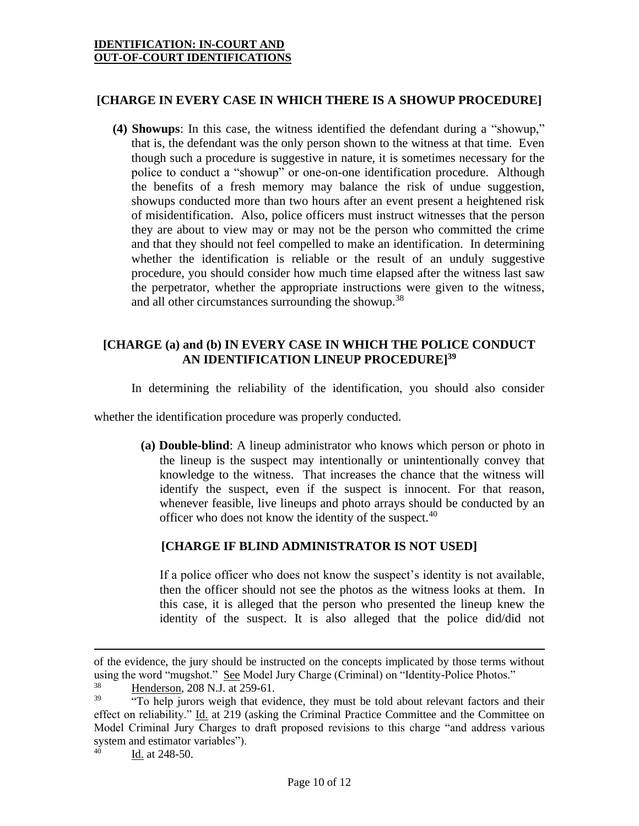# **[CHARGE IN EVERY CASE IN WHICH THERE IS A SHOWUP PROCEDURE]**

**(4) Showups**: In this case, the witness identified the defendant during a "showup," that is, the defendant was the only person shown to the witness at that time. Even though such a procedure is suggestive in nature, it is sometimes necessary for the police to conduct a "showup" or one-on-one identification procedure. Although the benefits of a fresh memory may balance the risk of undue suggestion, showups conducted more than two hours after an event present a heightened risk of misidentification. Also, police officers must instruct witnesses that the person they are about to view may or may not be the person who committed the crime and that they should not feel compelled to make an identification. In determining whether the identification is reliable or the result of an unduly suggestive procedure, you should consider how much time elapsed after the witness last saw the perpetrator, whether the appropriate instructions were given to the witness, and all other circumstances surrounding the showup.<sup>38</sup>

# **[CHARGE (a) and (b) IN EVERY CASE IN WHICH THE POLICE CONDUCT AN IDENTIFICATION LINEUP PROCEDURE]<sup>39</sup>**

In determining the reliability of the identification, you should also consider

whether the identification procedure was properly conducted.

**(a) Double-blind**: A lineup administrator who knows which person or photo in the lineup is the suspect may intentionally or unintentionally convey that knowledge to the witness. That increases the chance that the witness will identify the suspect, even if the suspect is innocent. For that reason, whenever feasible, live lineups and photo arrays should be conducted by an officer who does not know the identity of the suspect.<sup>40</sup>

# **[CHARGE IF BLIND ADMINISTRATOR IS NOT USED]**

If a police officer who does not know the suspect's identity is not available, then the officer should not see the photos as the witness looks at them. In this case, it is alleged that the person who presented the lineup knew the identity of the suspect. It is also alleged that the police did/did not

of the evidence, the jury should be instructed on the concepts implicated by those terms without using the word "mugshot." See Model Jury Charge (Criminal) on "Identity-Police Photos."

 $\frac{38}{39}$  Henderson, 208 N.J. at 259-61.

<sup>&</sup>quot;To help jurors weigh that evidence, they must be told about relevant factors and their effect on reliability." Id. at 219 (asking the Criminal Practice Committee and the Committee on Model Criminal Jury Charges to draft proposed revisions to this charge "and address various system and estimator variables").<br> $^{40}$  Ld at 248.50

Id. at 248-50.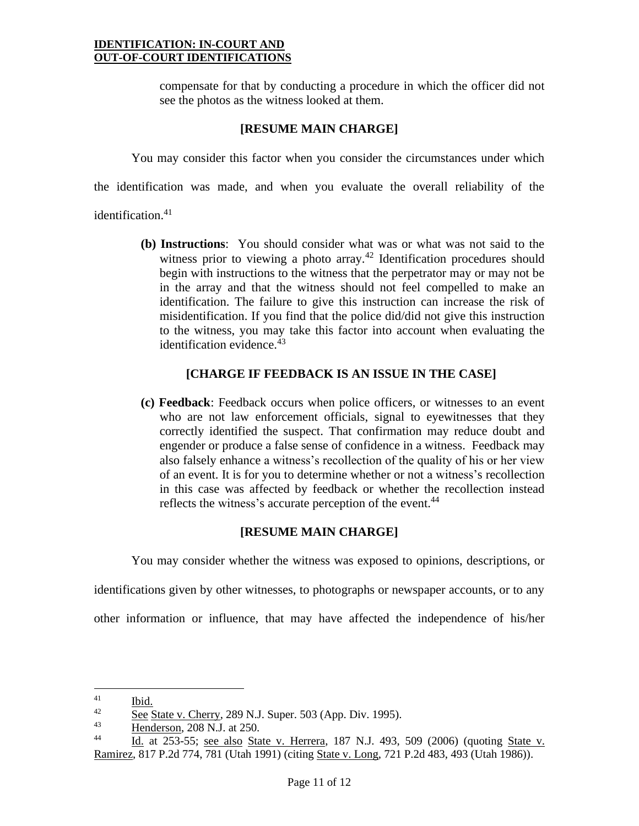compensate for that by conducting a procedure in which the officer did not see the photos as the witness looked at them.

### **[RESUME MAIN CHARGE]**

You may consider this factor when you consider the circumstances under which

the identification was made, and when you evaluate the overall reliability of the

identification.<sup>41</sup>

**(b) Instructions**: You should consider what was or what was not said to the witness prior to viewing a photo array.<sup>42</sup> Identification procedures should begin with instructions to the witness that the perpetrator may or may not be in the array and that the witness should not feel compelled to make an identification. The failure to give this instruction can increase the risk of misidentification. If you find that the police did/did not give this instruction to the witness, you may take this factor into account when evaluating the identification evidence. $43$ 

## **[CHARGE IF FEEDBACK IS AN ISSUE IN THE CASE]**

**(c) Feedback**: Feedback occurs when police officers, or witnesses to an event who are not law enforcement officials, signal to eyewitnesses that they correctly identified the suspect. That confirmation may reduce doubt and engender or produce a false sense of confidence in a witness. Feedback may also falsely enhance a witness's recollection of the quality of his or her view of an event. It is for you to determine whether or not a witness's recollection in this case was affected by feedback or whether the recollection instead reflects the witness's accurate perception of the event.<sup>44</sup>

# **[RESUME MAIN CHARGE]**

You may consider whether the witness was exposed to opinions, descriptions, or

identifications given by other witnesses, to photographs or newspaper accounts, or to any

other information or influence, that may have affected the independence of his/her

 $\frac{41}{42}$  Ibid.

 $\frac{42}{43}$  See State v. Cherry, 289 N.J. Super. 503 (App. Div. 1995).<br>
Handerson, 208 N.J. at 250

 $\frac{43}{44}$  Henderson, 208 N.J. at 250.

Id. at 253-55; see also State v. Herrera, 187 N.J. 493, 509 (2006) (quoting State v. Ramirez, 817 P.2d 774, 781 (Utah 1991) (citing State v. Long, 721 P.2d 483, 493 (Utah 1986)).